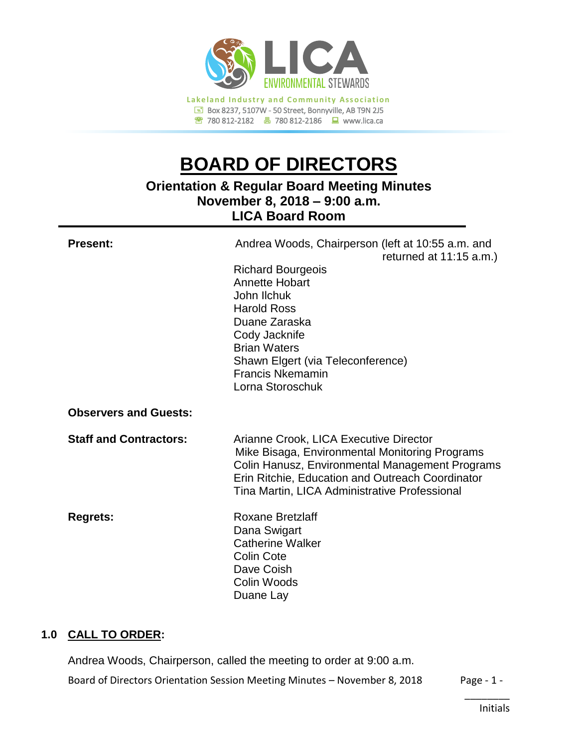

# **BOARD OF DIRECTORS**

# **Orientation & Regular Board Meeting Minutes November 8, 2018 – 9:00 a.m. LICA Board Room**

| <b>Present:</b>               | Andrea Woods, Chairperson (left at 10:55 a.m. and<br>returned at 11:15 a.m.)<br><b>Richard Bourgeois</b><br><b>Annette Hobart</b><br>John Ilchuk<br><b>Harold Ross</b><br>Duane Zaraska<br>Cody Jacknife<br><b>Brian Waters</b><br>Shawn Elgert (via Teleconference)<br><b>Francis Nkemamin</b><br>Lorna Storoschuk |
|-------------------------------|---------------------------------------------------------------------------------------------------------------------------------------------------------------------------------------------------------------------------------------------------------------------------------------------------------------------|
| <b>Observers and Guests:</b>  |                                                                                                                                                                                                                                                                                                                     |
| <b>Staff and Contractors:</b> | Arianne Crook, LICA Executive Director<br>Mike Bisaga, Environmental Monitoring Programs<br>Colin Hanusz, Environmental Management Programs<br>Erin Ritchie, Education and Outreach Coordinator<br>Tina Martin, LICA Administrative Professional                                                                    |
| <b>Regrets:</b>               | <b>Roxane Bretzlaff</b><br>Dana Swigart<br><b>Catherine Walker</b><br><b>Colin Cote</b><br>Dave Coish<br>Colin Woods<br>Duane Lay                                                                                                                                                                                   |

# **1.0 CALL TO ORDER:**

Andrea Woods, Chairperson, called the meeting to order at 9:00 a.m.

Board of Directors Orientation Session Meeting Minutes - November 8, 2018 Page - 1 -

\_\_\_\_\_\_\_\_ Initials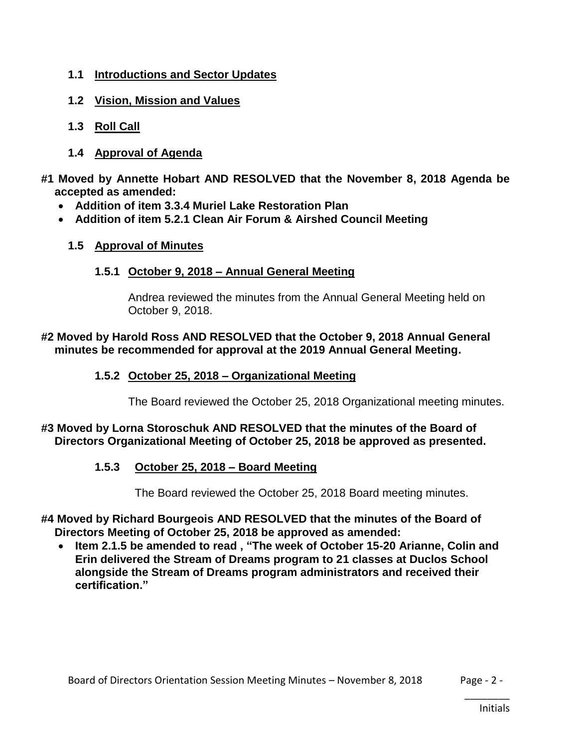- **1.1 Introductions and Sector Updates**
- **1.2 Vision, Mission and Values**
- **1.3 Roll Call**
- **1.4 Approval of Agenda**
- **#1 Moved by Annette Hobart AND RESOLVED that the November 8, 2018 Agenda be accepted as amended:**
	- **Addition of item 3.3.4 Muriel Lake Restoration Plan**
	- **Addition of item 5.2.1 Clean Air Forum & Airshed Council Meeting**

#### **1.5 Approval of Minutes**

## **1.5.1 October 9, 2018 – Annual General Meeting**

Andrea reviewed the minutes from the Annual General Meeting held on October 9, 2018.

#### **#2 Moved by Harold Ross AND RESOLVED that the October 9, 2018 Annual General minutes be recommended for approval at the 2019 Annual General Meeting.**

## **1.5.2 October 25, 2018 – Organizational Meeting**

The Board reviewed the October 25, 2018 Organizational meeting minutes.

## **#3 Moved by Lorna Storoschuk AND RESOLVED that the minutes of the Board of Directors Organizational Meeting of October 25, 2018 be approved as presented.**

# **1.5.3 October 25, 2018 – Board Meeting**

The Board reviewed the October 25, 2018 Board meeting minutes.

- **#4 Moved by Richard Bourgeois AND RESOLVED that the minutes of the Board of Directors Meeting of October 25, 2018 be approved as amended:**
	- **Item 2.1.5 be amended to read , "The week of October 15-20 Arianne, Colin and Erin delivered the Stream of Dreams program to 21 classes at Duclos School alongside the Stream of Dreams program administrators and received their certification."**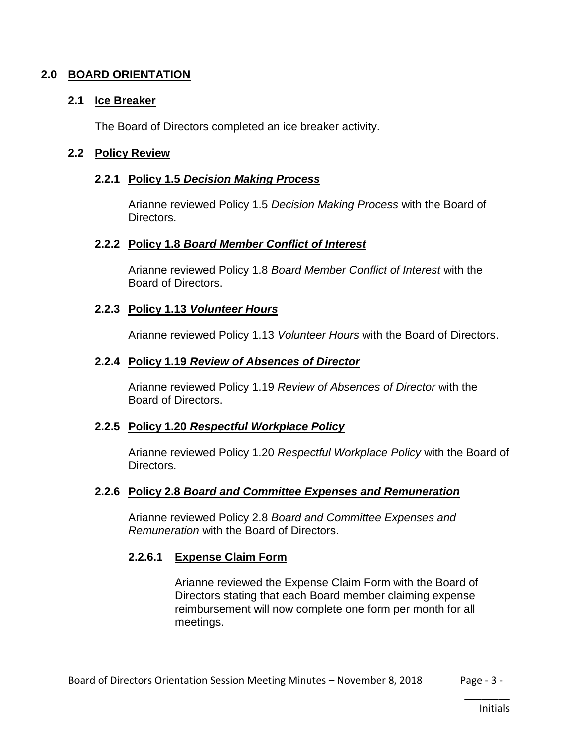## **2.0 BOARD ORIENTATION**

#### **2.1 Ice Breaker**

The Board of Directors completed an ice breaker activity.

#### **2.2 Policy Review**

## **2.2.1 Policy 1.5** *Decision Making Process*

Arianne reviewed Policy 1.5 *Decision Making Process* with the Board of Directors.

#### **2.2.2 Policy 1.8** *Board Member Conflict of Interest*

Arianne reviewed Policy 1.8 *Board Member Conflict of Interest* with the Board of Directors.

## **2.2.3 Policy 1.13** *Volunteer Hours*

Arianne reviewed Policy 1.13 *Volunteer Hours* with the Board of Directors.

## **2.2.4 Policy 1.19** *Review of Absences of Director*

Arianne reviewed Policy 1.19 *Review of Absences of Director* with the Board of Directors.

#### **2.2.5 Policy 1.20** *Respectful Workplace Policy*

Arianne reviewed Policy 1.20 *Respectful Workplace Policy* with the Board of Directors.

#### **2.2.6 Policy 2.8** *Board and Committee Expenses and Remuneration*

Arianne reviewed Policy 2.8 *Board and Committee Expenses and Remuneration* with the Board of Directors.

# **2.2.6.1 Expense Claim Form**

Arianne reviewed the Expense Claim Form with the Board of Directors stating that each Board member claiming expense reimbursement will now complete one form per month for all meetings.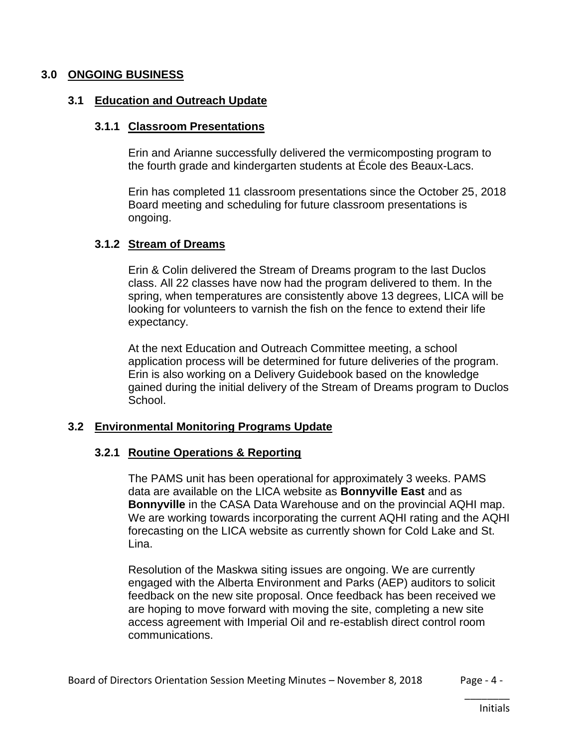#### **3.0 ONGOING BUSINESS**

#### **3.1 Education and Outreach Update**

#### **3.1.1 Classroom Presentations**

Erin and Arianne successfully delivered the vermicomposting program to the fourth grade and kindergarten students at École des Beaux-Lacs.

Erin has completed 11 classroom presentations since the October 25, 2018 Board meeting and scheduling for future classroom presentations is ongoing.

#### **3.1.2 Stream of Dreams**

Erin & Colin delivered the Stream of Dreams program to the last Duclos class. All 22 classes have now had the program delivered to them. In the spring, when temperatures are consistently above 13 degrees, LICA will be looking for volunteers to varnish the fish on the fence to extend their life expectancy.

At the next Education and Outreach Committee meeting, a school application process will be determined for future deliveries of the program. Erin is also working on a Delivery Guidebook based on the knowledge gained during the initial delivery of the Stream of Dreams program to Duclos School.

#### **3.2 Environmental Monitoring Programs Update**

#### **3.2.1 Routine Operations & Reporting**

The PAMS unit has been operational for approximately 3 weeks. PAMS data are available on the LICA website as **Bonnyville East** and as **Bonnyville** in the CASA Data Warehouse and on the provincial AQHI map. We are working towards incorporating the current AQHI rating and the AQHI forecasting on the LICA website as currently shown for Cold Lake and St. Lina.

Resolution of the Maskwa siting issues are ongoing. We are currently engaged with the Alberta Environment and Parks (AEP) auditors to solicit feedback on the new site proposal. Once feedback has been received we are hoping to move forward with moving the site, completing a new site access agreement with Imperial Oil and re-establish direct control room communications.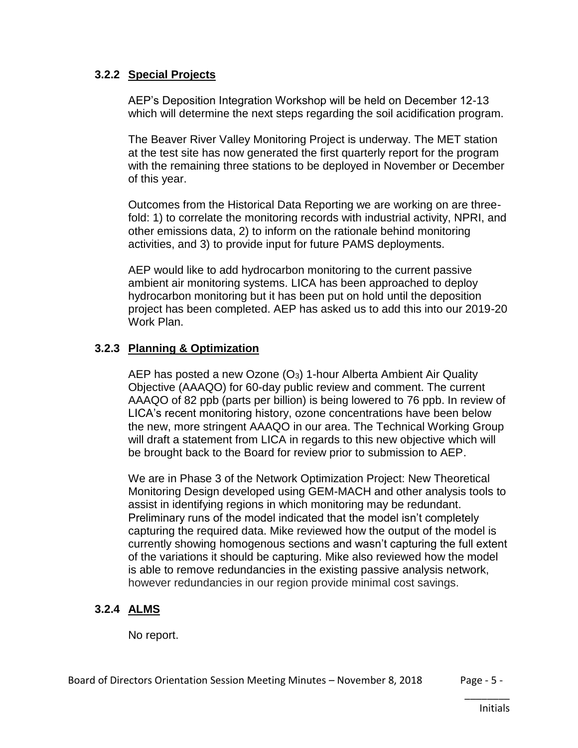## **3.2.2 Special Projects**

AEP's Deposition Integration Workshop will be held on December 12-13 which will determine the next steps regarding the soil acidification program.

The Beaver River Valley Monitoring Project is underway. The MET station at the test site has now generated the first quarterly report for the program with the remaining three stations to be deployed in November or December of this year.

Outcomes from the Historical Data Reporting we are working on are threefold: 1) to correlate the monitoring records with industrial activity, NPRI, and other emissions data, 2) to inform on the rationale behind monitoring activities, and 3) to provide input for future PAMS deployments.

AEP would like to add hydrocarbon monitoring to the current passive ambient air monitoring systems. LICA has been approached to deploy hydrocarbon monitoring but it has been put on hold until the deposition project has been completed. AEP has asked us to add this into our 2019-20 Work Plan.

# **3.2.3 Planning & Optimization**

AEP has posted a new Ozone  $(O_3)$  1-hour Alberta Ambient Air Quality Objective (AAAQO) for 60-day public review and comment. The current AAAQO of 82 ppb (parts per billion) is being lowered to 76 ppb. In review of LICA's recent monitoring history, ozone concentrations have been below the new, more stringent AAAQO in our area. The Technical Working Group will draft a statement from LICA in regards to this new objective which will be brought back to the Board for review prior to submission to AEP.

We are in Phase 3 of the Network Optimization Project: New Theoretical Monitoring Design developed using GEM-MACH and other analysis tools to assist in identifying regions in which monitoring may be redundant. Preliminary runs of the model indicated that the model isn't completely capturing the required data. Mike reviewed how the output of the model is currently showing homogenous sections and wasn't capturing the full extent of the variations it should be capturing. Mike also reviewed how the model is able to remove redundancies in the existing passive analysis network, however redundancies in our region provide minimal cost savings.

# **3.2.4 ALMS**

No report.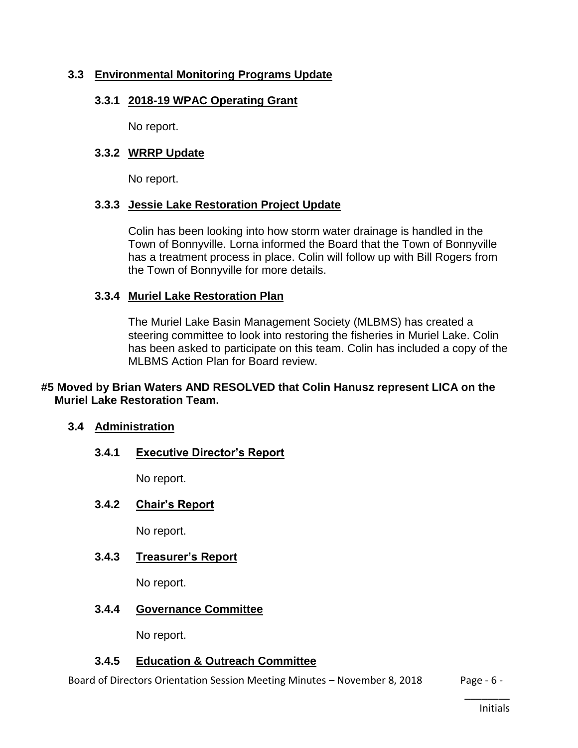## **3.3 Environmental Monitoring Programs Update**

#### **3.3.1 2018-19 WPAC Operating Grant**

No report.

#### **3.3.2 WRRP Update**

No report.

#### **3.3.3 Jessie Lake Restoration Project Update**

Colin has been looking into how storm water drainage is handled in the Town of Bonnyville. Lorna informed the Board that the Town of Bonnyville has a treatment process in place. Colin will follow up with Bill Rogers from the Town of Bonnyville for more details.

#### **3.3.4 Muriel Lake Restoration Plan**

The Muriel Lake Basin Management Society (MLBMS) has created a steering committee to look into restoring the fisheries in Muriel Lake. Colin has been asked to participate on this team. Colin has included a copy of the MLBMS Action Plan for Board review.

#### **#5 Moved by Brian Waters AND RESOLVED that Colin Hanusz represent LICA on the Muriel Lake Restoration Team.**

#### **3.4 Administration**

#### **3.4.1 Executive Director's Report**

No report.

#### **3.4.2 Chair's Report**

No report.

## **3.4.3 Treasurer's Report**

No report.

#### **3.4.4 Governance Committee**

No report.

#### **3.4.5 Education & Outreach Committee**

Board of Directors Orientation Session Meeting Minutes – November 8, 2018 Page - 6 -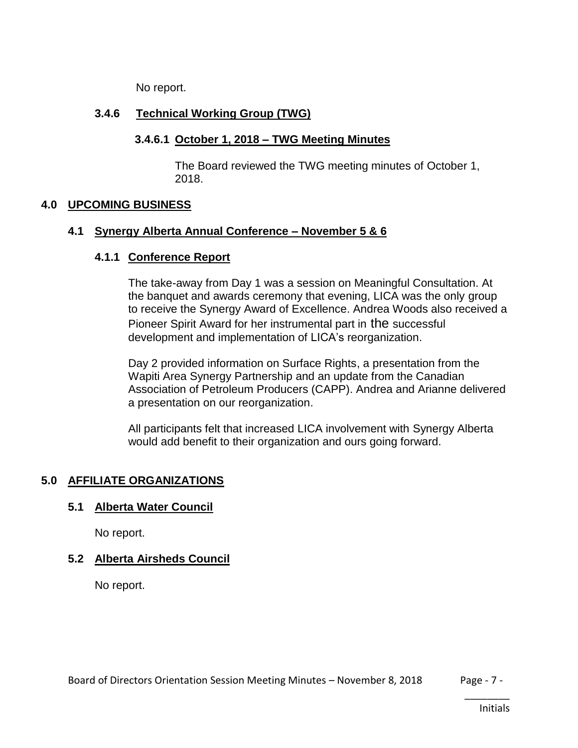No report.

# **3.4.6 Technical Working Group (TWG)**

# **3.4.6.1 October 1, 2018 – TWG Meeting Minutes**

The Board reviewed the TWG meeting minutes of October 1, 2018.

# **4.0 UPCOMING BUSINESS**

## **4.1 Synergy Alberta Annual Conference – November 5 & 6**

# **4.1.1 Conference Report**

The take-away from Day 1 was a session on Meaningful Consultation. At the banquet and awards ceremony that evening, LICA was the only group to receive the Synergy Award of Excellence. Andrea Woods also received a Pioneer Spirit Award for her instrumental part in the successful development and implementation of LICA's reorganization.

Day 2 provided information on Surface Rights, a presentation from the Wapiti Area Synergy Partnership and an update from the Canadian Association of Petroleum Producers (CAPP). Andrea and Arianne delivered a presentation on our reorganization.

All participants felt that increased LICA involvement with Synergy Alberta would add benefit to their organization and ours going forward.

# **5.0 AFFILIATE ORGANIZATIONS**

# **5.1 Alberta Water Council**

No report.

# **5.2 Alberta Airsheds Council**

No report.